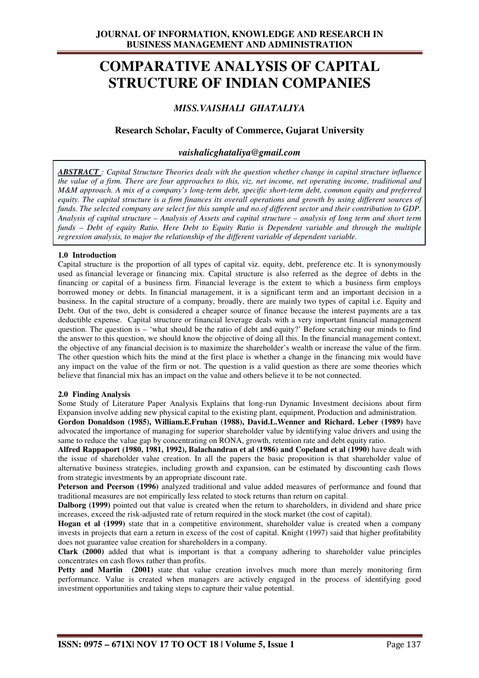# **COMPARATIVE ANALYSIS OF CAPITAL STRUCTURE OF INDIAN COMPANIES**

## *MISS.VAISHALI GHATALIYA*

### **Research Scholar, Faculty of Commerce, Gujarat University**

#### *vaishalicghataliya@gmail.com*

*ABSTRACT : Capital Structure Theories deals with the question whether change in capital structure influence the value of a firm. There are four approaches to this, viz. net income, net operating income, traditional and M&M approach. A mix of a company's long-term debt, specific short-term debt, common equity and preferred equity. The capital structure is a firm finances its overall operations and growth by using different sources of funds. The selected company are select for this sample and no.of different sector and their contribution to GDP. Analysis of capital structure – Analysis of Assets and capital structure – analysis of long term and short term funds – Debt of equity Ratio. Here Debt to Equity Ratio is Dependent variable and through the multiple regression analysis, to major the relationship of the different variable of dependent variable.*

#### **1.0 Introduction**

Capital structure is the proportion of all types of capital viz. equity, debt, preference etc. It is synonymously used as financial leverage or financing mix. Capital structure is also referred as the degree of debts in the financing or capital of a business firm. Financial leverage is the extent to which a business firm employs borrowed money or debts. In financial management, it is a significant term and an important decision in a business. In the capital structure of a company, broadly, there are mainly two types of capital i.e. Equity and Debt. Out of the two, debt is considered a cheaper source of finance because the interest payments are a tax deductible expense. Capital structure or financial leverage deals with a very important financial management question. The question is – 'what should be the ratio of debt and equity?' Before scratching our minds to find the answer to this question, we should know the objective of doing all this. In the financial management context, the objective of any financial decision is to maximize the shareholder's wealth or increase the value of the firm. The other question which hits the mind at the first place is whether a change in the financing mix would have any impact on the value of the firm or not. The question is a valid question as there are some theories which believe that financial mix has an impact on the value and others believe it to be not connected.

#### **2.0 Finding Analysis**

Some Study of Literature Paper Analysis Explains that long-run Dynamic Investment decisions about firm Expansion involve adding new physical capital to the existing plant, equipment, Production and administration.

**Gordon Donaldson (1985), William.E.Fruhan (1988), David.L.Wenner and Richard. Leber (1989)** have advocated the importance of managing for superior shareholder value by identifying value drivers and using the same to reduce the value gap by concentrating on RONA, growth, retention rate and debt equity ratio.

**Alfred Rappaport (1980, 1981, 1992), Balachandran et al (1986) and Copeland et al (1990)** have dealt with the issue of shareholder value creation. In all the papers the basic proposition is that shareholder value of alternative business strategies, including growth and expansion, can be estimated by discounting cash flows from strategic investments by an appropriate discount rate.

**Peterson and Peerson (1996)** analyzed traditional and value added measures of performance and found that traditional measures are not empirically less related to stock returns than return on capital.

**Dalborg (1999)** pointed out that value is created when the return to shareholders, in dividend and share price increases, exceed the risk-adjusted rate of return required in the stock market (the cost of capital).

Hogan et al (1999) state that in a competitive environment, shareholder value is created when a company invests in projects that earn a return in excess of the cost of capital. Knight (1997) said that higher profitability does not guarantee value creation for shareholders in a company.

**Clark (2000)** added that what is important is that a company adhering to shareholder value principles concentrates on cash flows rather than profits.

**Petty and Martin** (2001) state that value creation involves much more than merely monitoring firm performance. Value is created when managers are actively engaged in the process of identifying good investment opportunities and taking steps to capture their value potential.